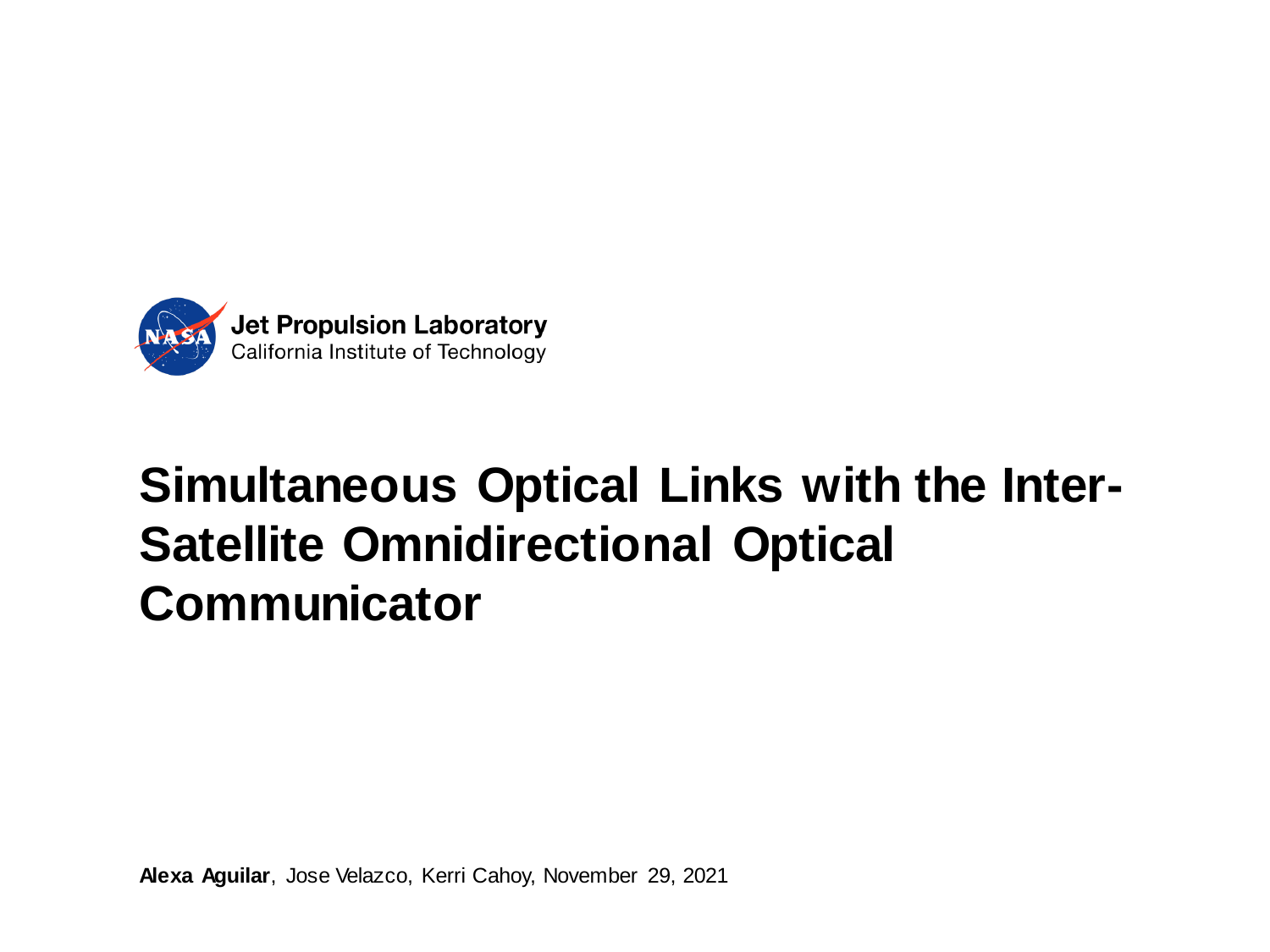

# **Simultaneous Optical Links with the Inter-Satellite Omnidirectional Optical Communicator**

**Alexa Aguilar**, Jose Velazco, Kerri Cahoy, November 29, 2021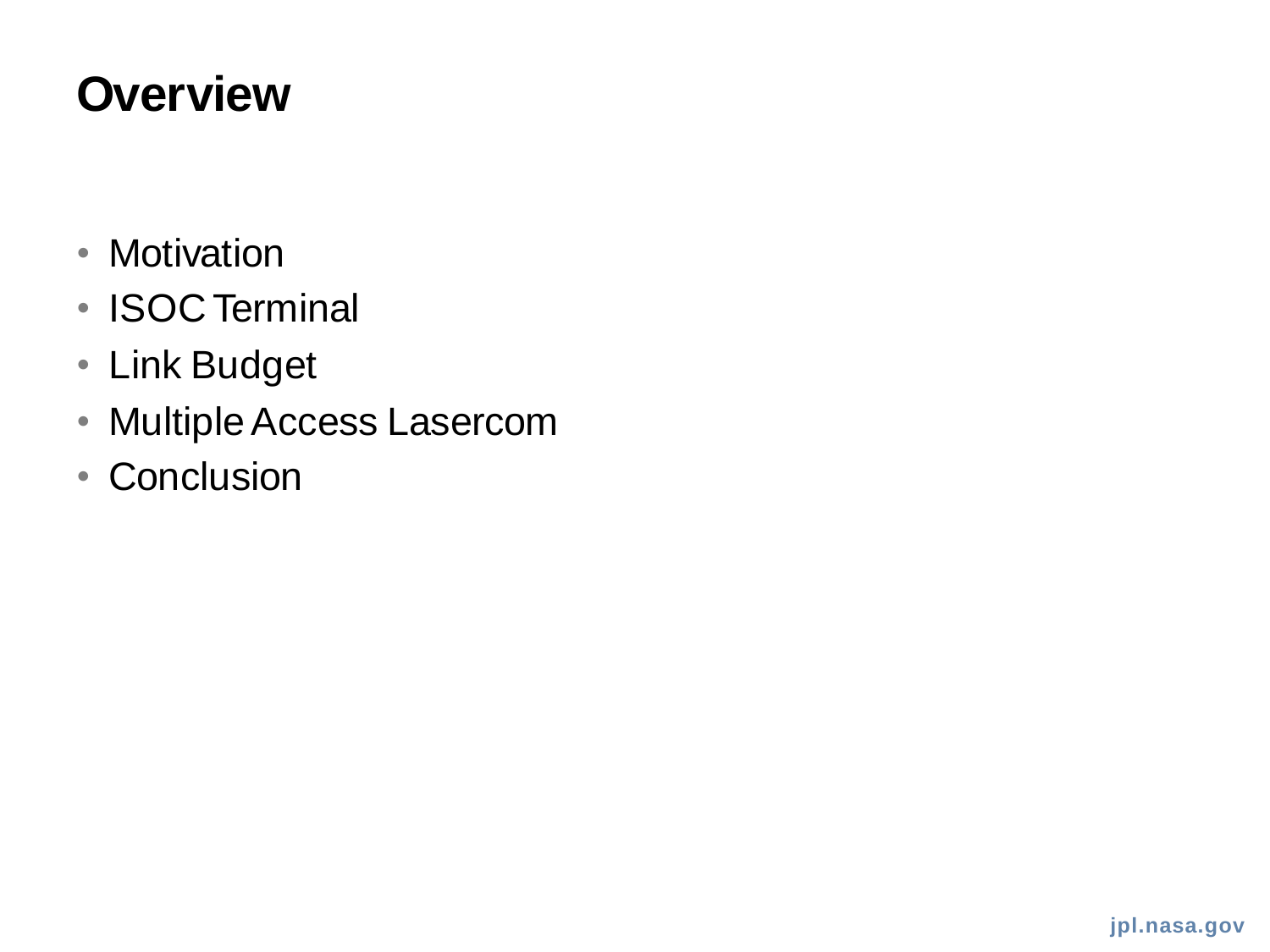### **Overview**

- Motivation
- ISOC Terminal
- Link Budget
- Multiple Access Lasercom
- Conclusion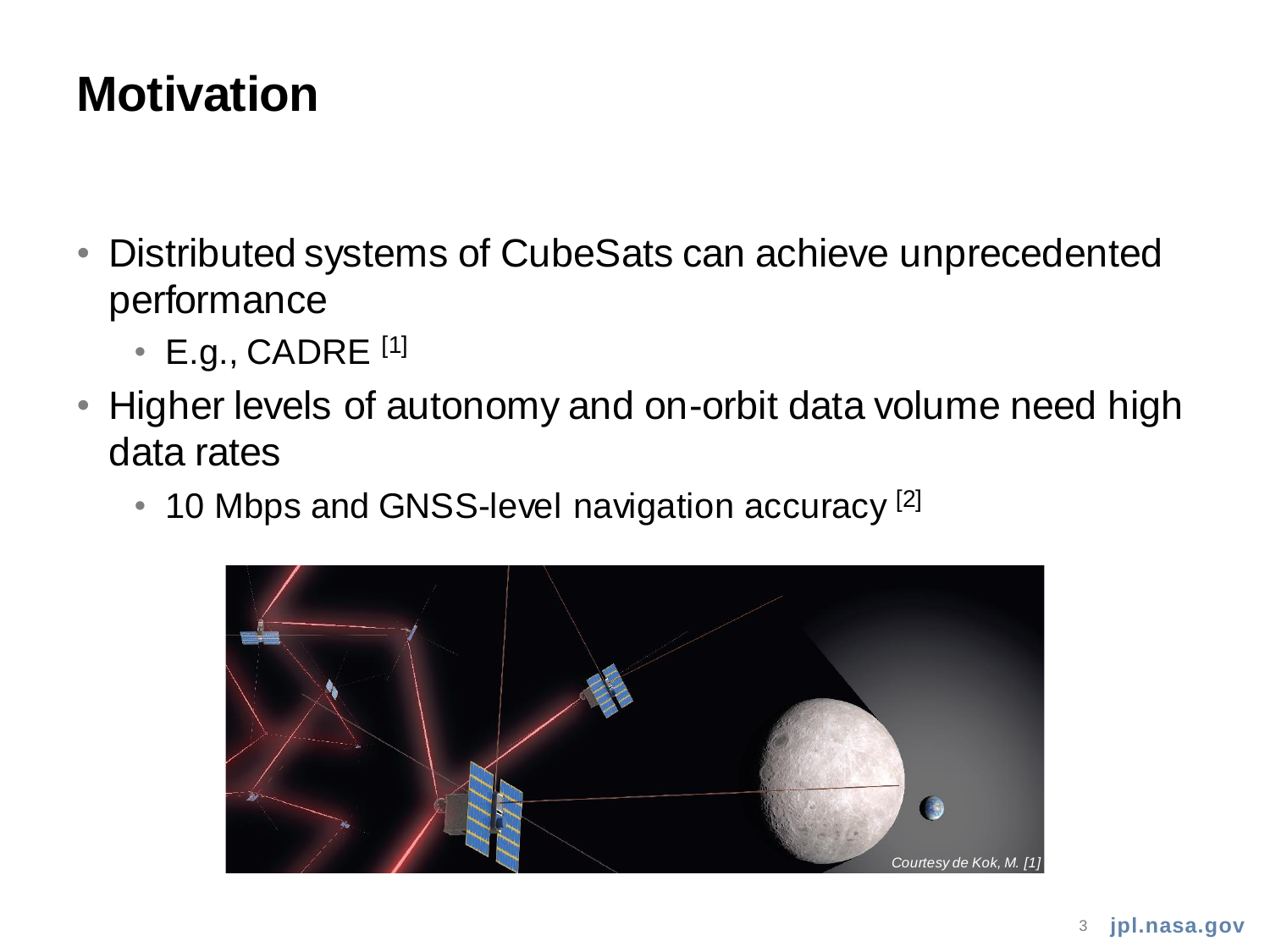### **Motivation**

- Distributed systems of CubeSats can achieve unprecedented performance
	- $\cdot$  E.g., CADRE  $^{[1]}$
- Higher levels of autonomy and on-orbit data volume need high data rates
	- 10 Mbps and GNSS-level navigation accuracy [2]

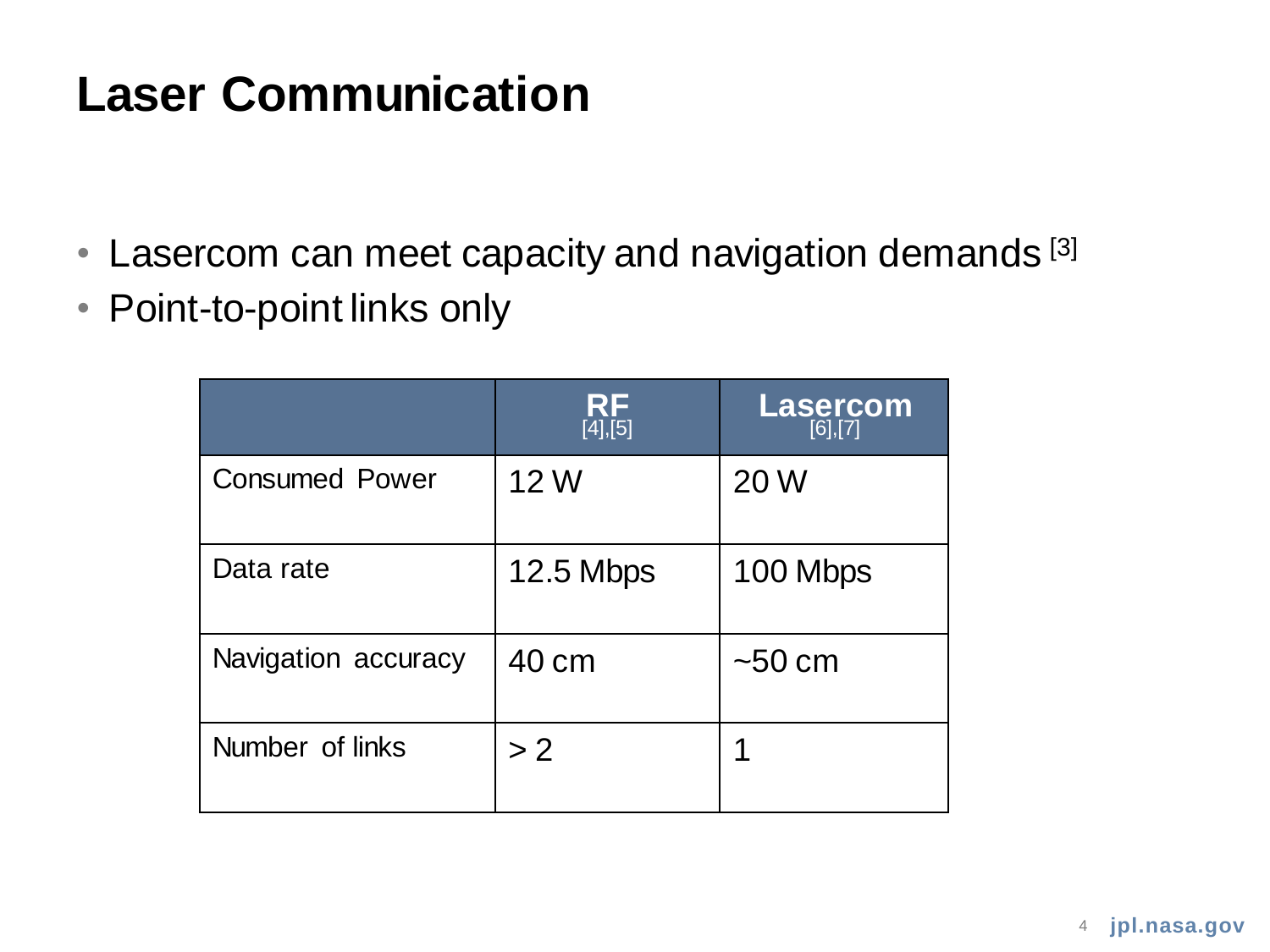### **Laser Communication**

- Lasercom can meet capacity and navigation demands<sup>[3]</sup>
- Point-to-point links only

|                       | RF<br>[4],[5] | $\textsf{Lasercom}_{[6],[7]}$ |
|-----------------------|---------------|-------------------------------|
| <b>Consumed Power</b> | 12 W          | 20 W                          |
| Data rate             | 12.5 Mbps     | 100 Mbps                      |
| Navigation accuracy   | 40 cm         | ~50~cm                        |
| Number of links       | >2            |                               |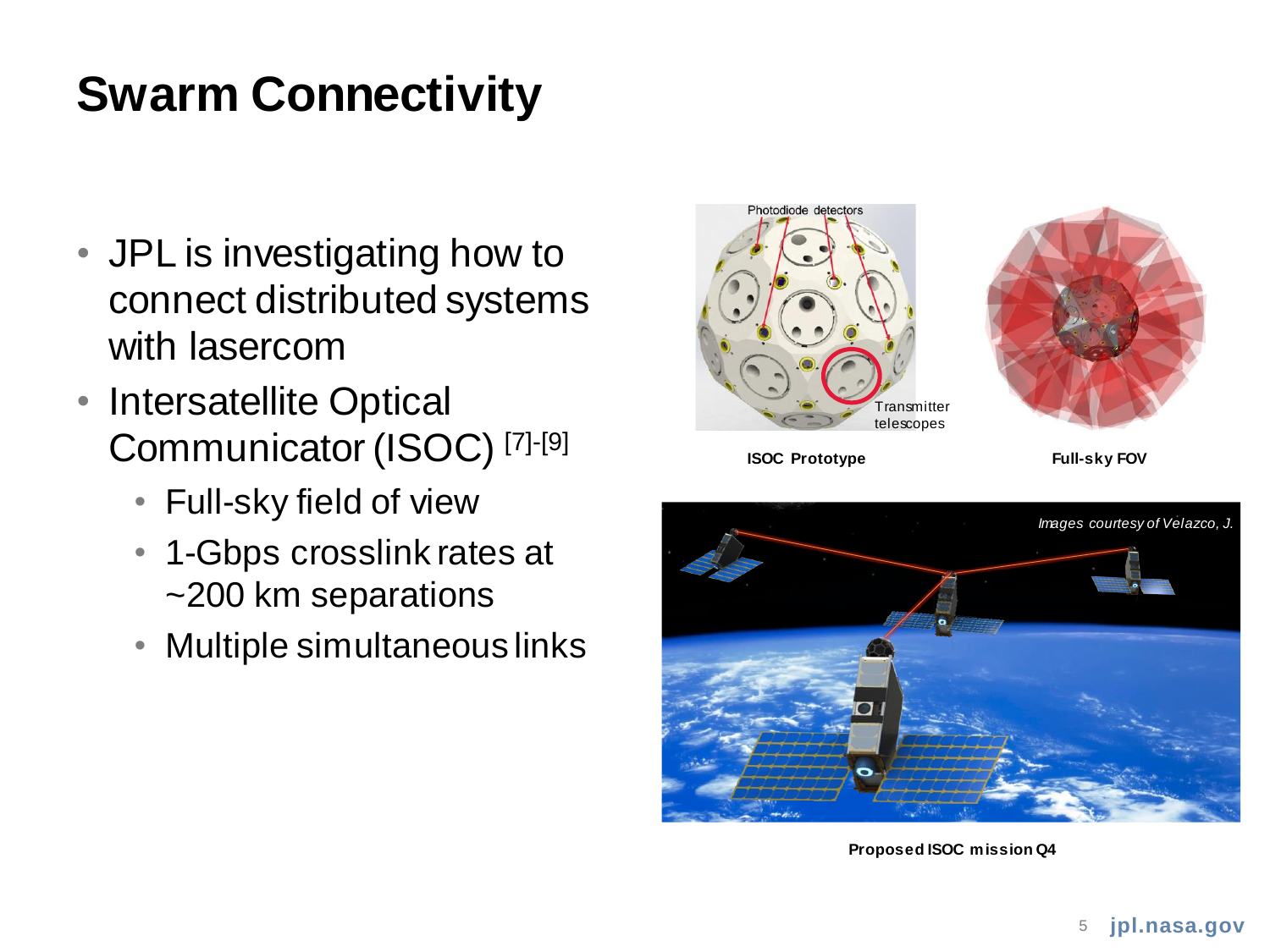# **Swarm Connectivity**

- JPL is investigating how to connect distributed systems with lasercom
- Intersatellite Optical Communicator (ISOC) [7]-[9]
	- Full-sky field of view
	- 1-Gbps crosslink rates at ~200 km separations
	- Multiple simultaneous links





**ISOC Prototype Full-sky FOV**



**Proposed ISOC mission Q4**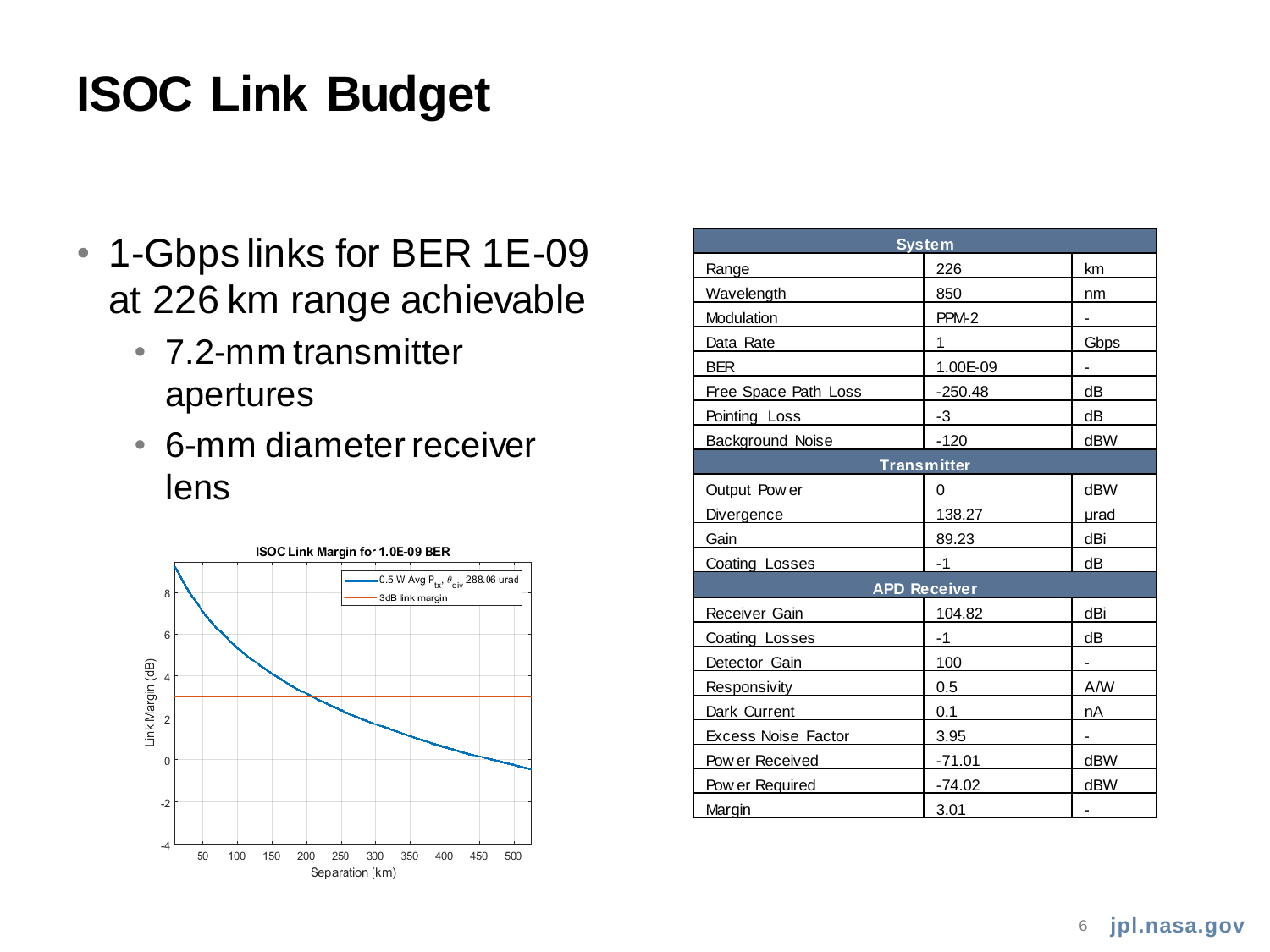### **ISOC Link Budget**

- 1-Gbps links for BER 1E-09 at 226 km range achievable
	- 7.2-mm transmitter apertures
	- 6-mm diameter receiver lens



| <b>System</b>               |           |                          |  |  |  |  |
|-----------------------------|-----------|--------------------------|--|--|--|--|
| Range                       | 226       | km                       |  |  |  |  |
| Wavelength                  | 850       | nm                       |  |  |  |  |
| Modulation                  | PPM-2     | -                        |  |  |  |  |
| Data Rate                   | 1         | <b>Gbps</b>              |  |  |  |  |
| <b>BER</b>                  | 1.00E-09  | $\overline{\phantom{0}}$ |  |  |  |  |
| <b>Free Space Path Loss</b> | $-250.48$ | dВ                       |  |  |  |  |
| Pointing Loss               | -3        | dВ                       |  |  |  |  |
| <b>Background Noise</b>     | $-120$    | dBW                      |  |  |  |  |
| <b>Transmitter</b>          |           |                          |  |  |  |  |
| Output Pow er               | 0         | <b>dBW</b>               |  |  |  |  |
| Divergence                  | 138.27    | urad                     |  |  |  |  |
| Gain                        | 89.23     | dBi                      |  |  |  |  |
| Coating Losses              | -1        | dВ                       |  |  |  |  |
| <b>APD Receiver</b>         |           |                          |  |  |  |  |
| Receiver Gain               | 104.82    | dBi                      |  |  |  |  |
| Coating Losses              | -1        | dB                       |  |  |  |  |
| Detector Gain               | 100       |                          |  |  |  |  |
| Responsivity                | 0.5       | A/W                      |  |  |  |  |
| Dark Current                | 0.1       | nA                       |  |  |  |  |
| <b>Excess Noise Factor</b>  | 3.95      | -                        |  |  |  |  |
| Pow er Received             | $-71.01$  | dBW                      |  |  |  |  |
| Pow er Required             | $-74.02$  | dBW                      |  |  |  |  |
| Margin                      | 3.01      |                          |  |  |  |  |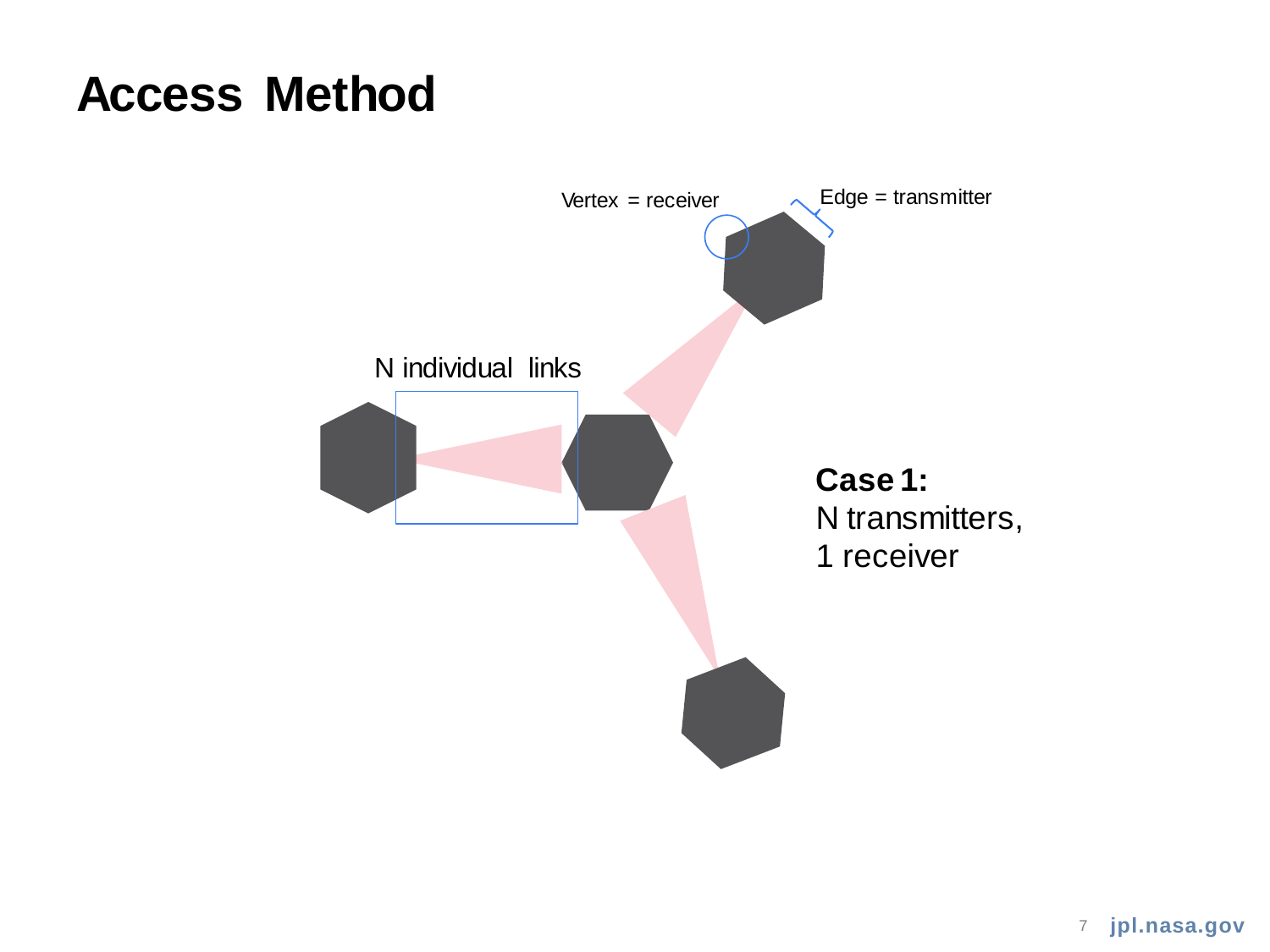### **Access Method**



**jpl.nasa.gov** 7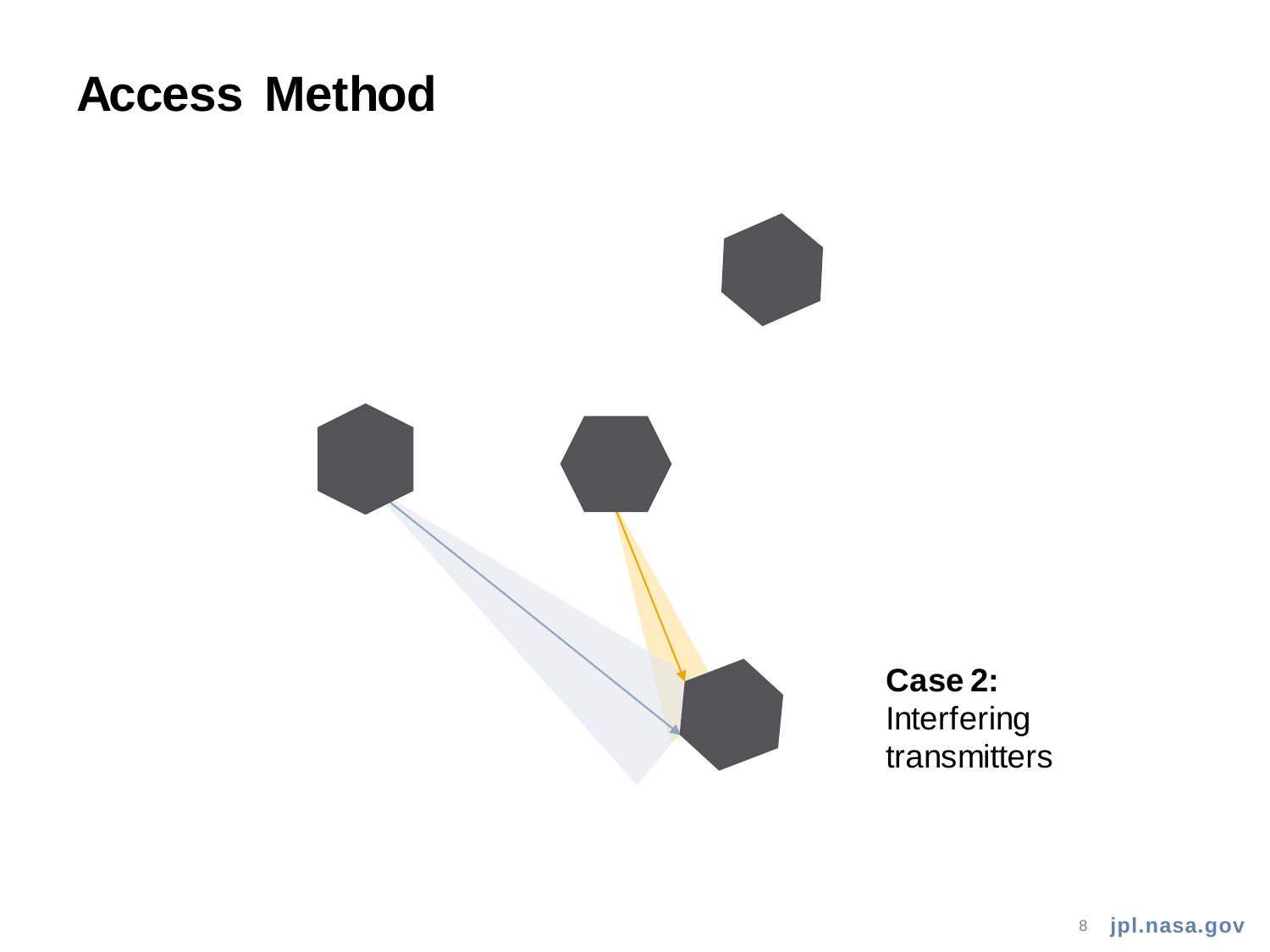### **Access Method**

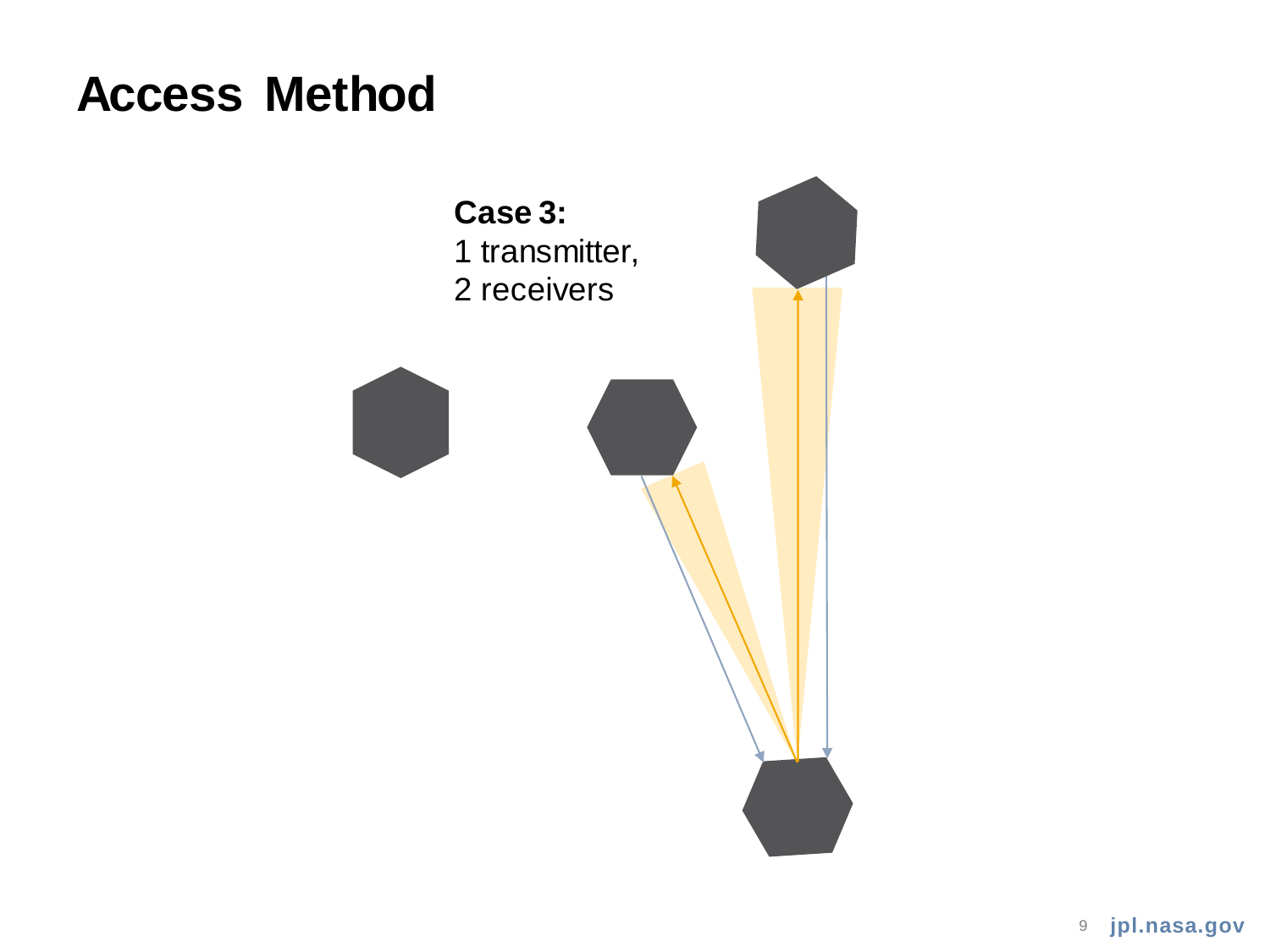### **Access Method**

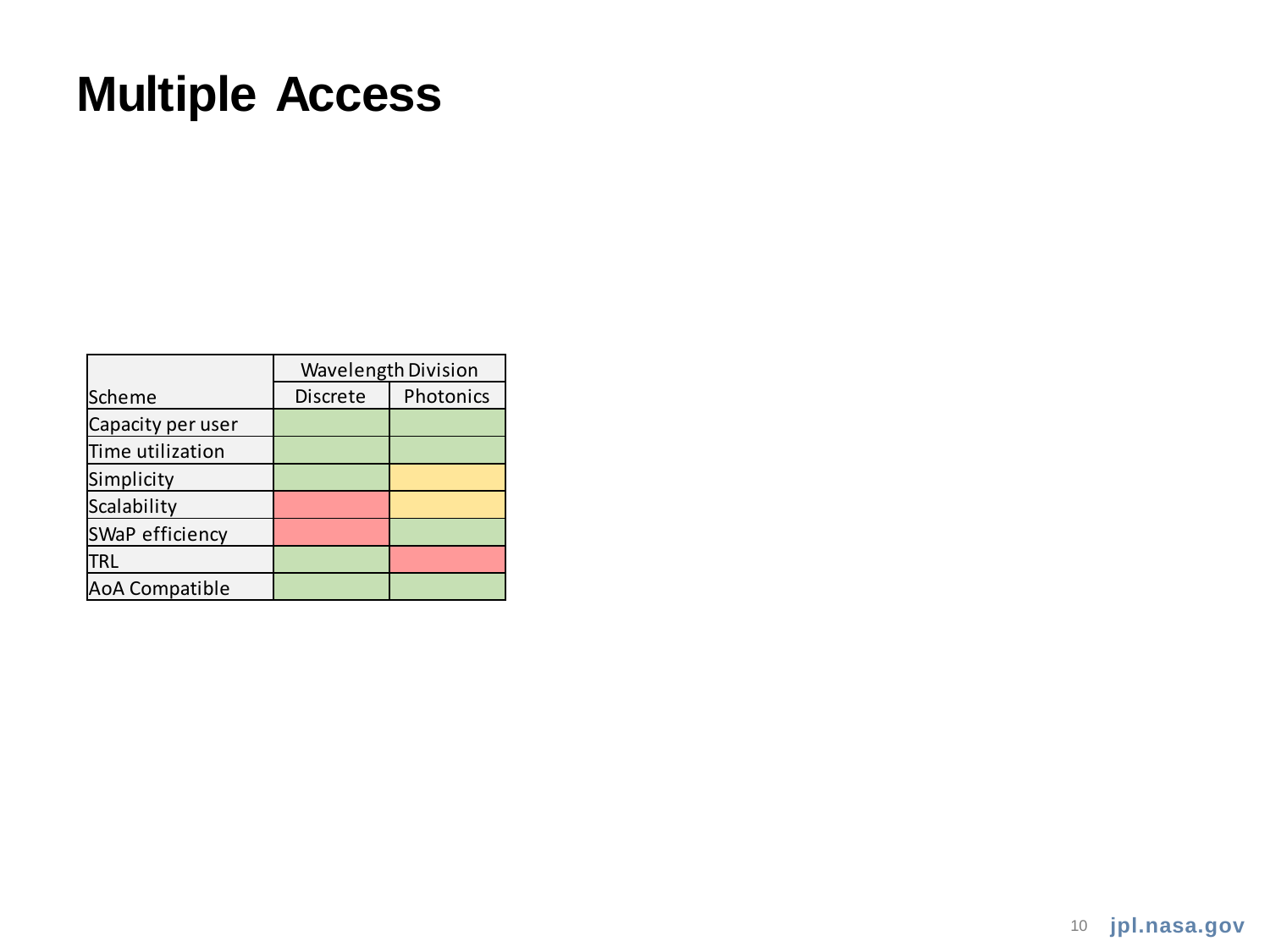# **Multiple Access**

|                   | Wavelength Division |           |
|-------------------|---------------------|-----------|
| Scheme            | Discrete            | Photonics |
| Capacity per user |                     |           |
| Time utilization  |                     |           |
| Simplicity        |                     |           |
| Scalability       |                     |           |
| SWaP efficiency   |                     |           |
| <b>TRL</b>        |                     |           |
| AoA Compatible    |                     |           |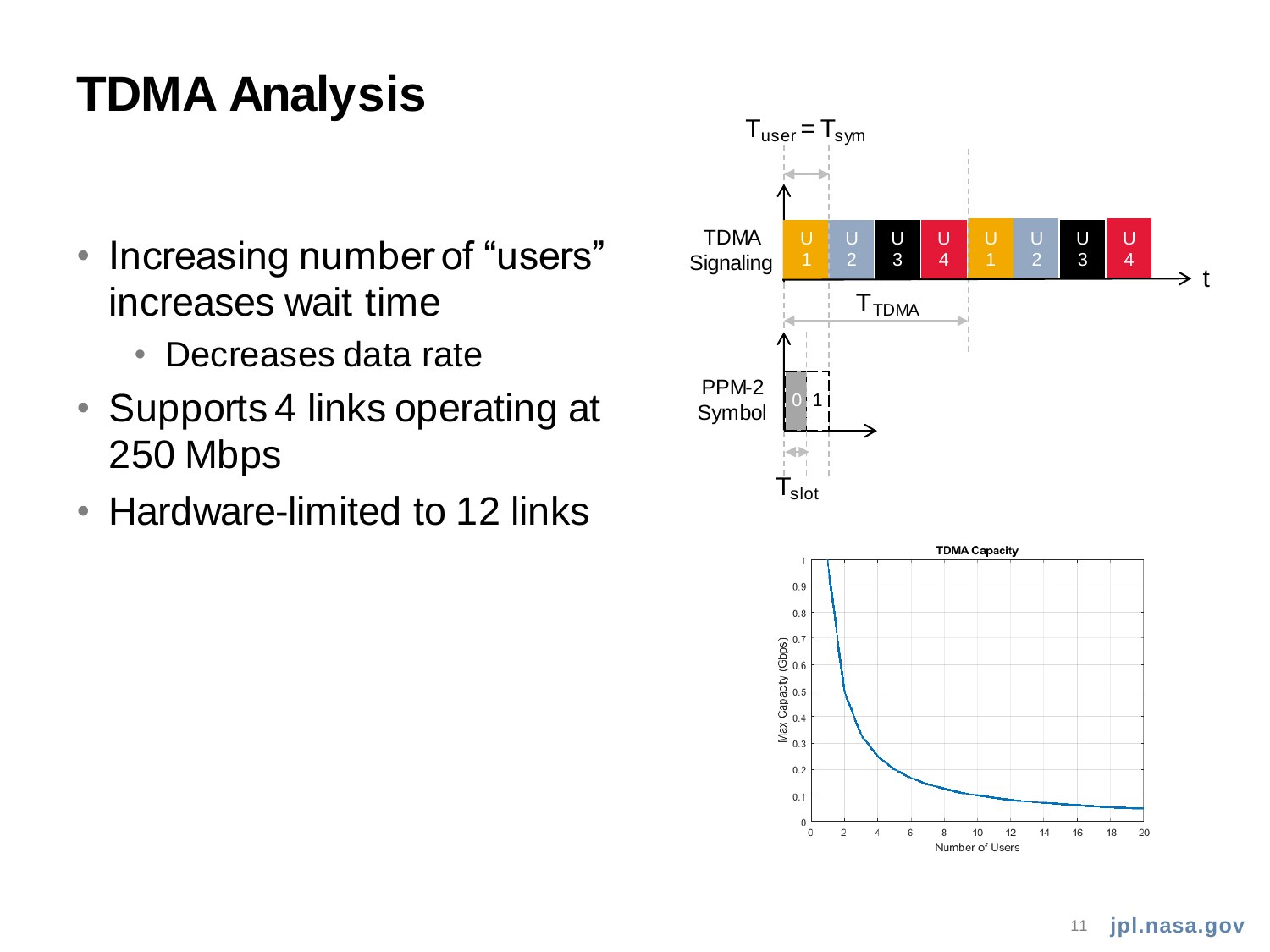# **TDMA Analysis**

- Increasing number of "users" increases wait time
	- Decreases data rate
- Supports 4 links operating at 250 Mbps
- Hardware-limited to 12 links

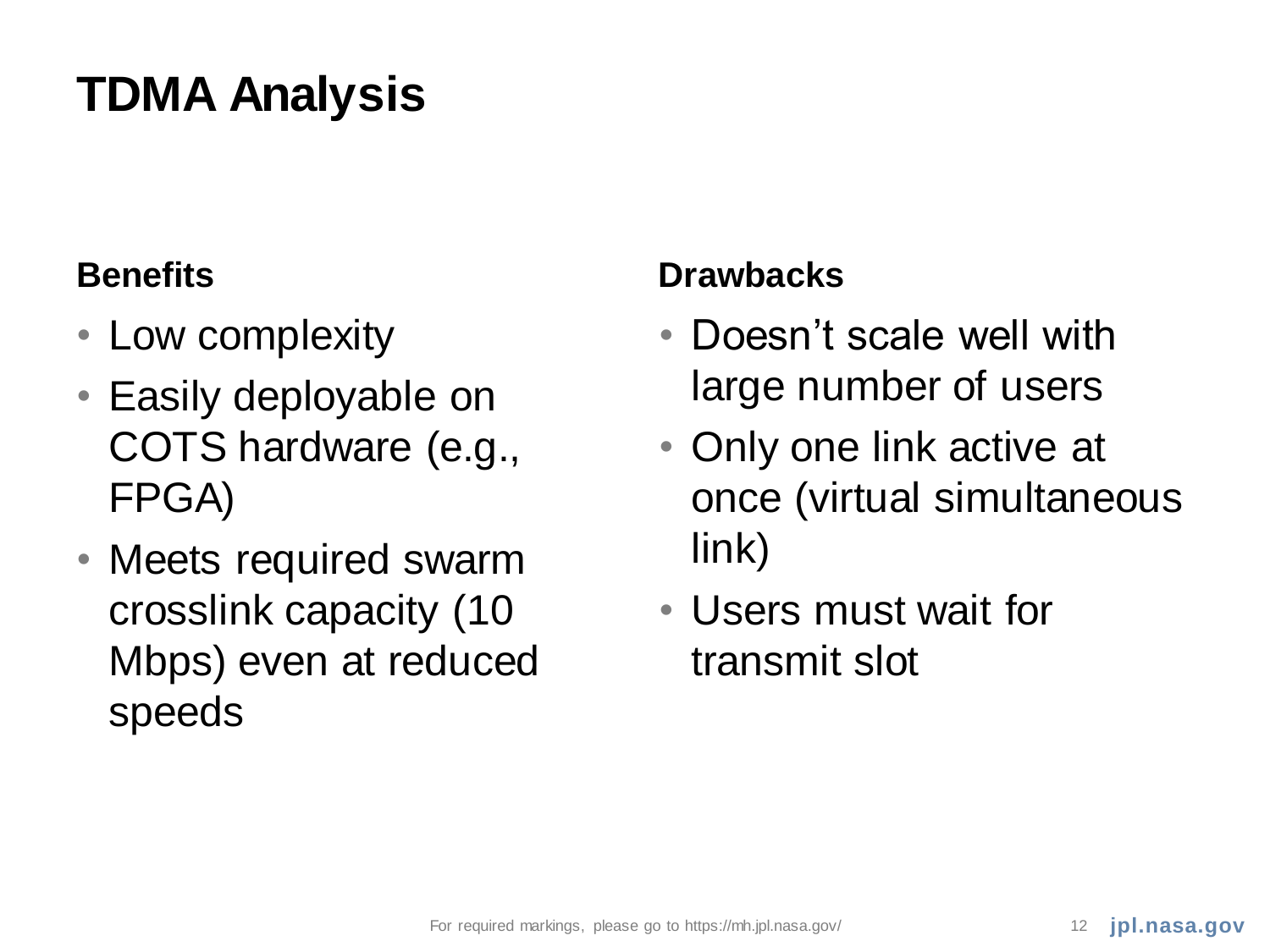# **TDMA Analysis**

- Low complexity
- Easily deployable on COTS hardware (e.g., FPGA)
- Meets required swarm crosslink capacity (10 Mbps) even at reduced speeds

### **Benefits Drawbacks**

- Doesn't scale well with large number of users
- Only one link active at once (virtual simultaneous link)
- Users must wait for transmit slot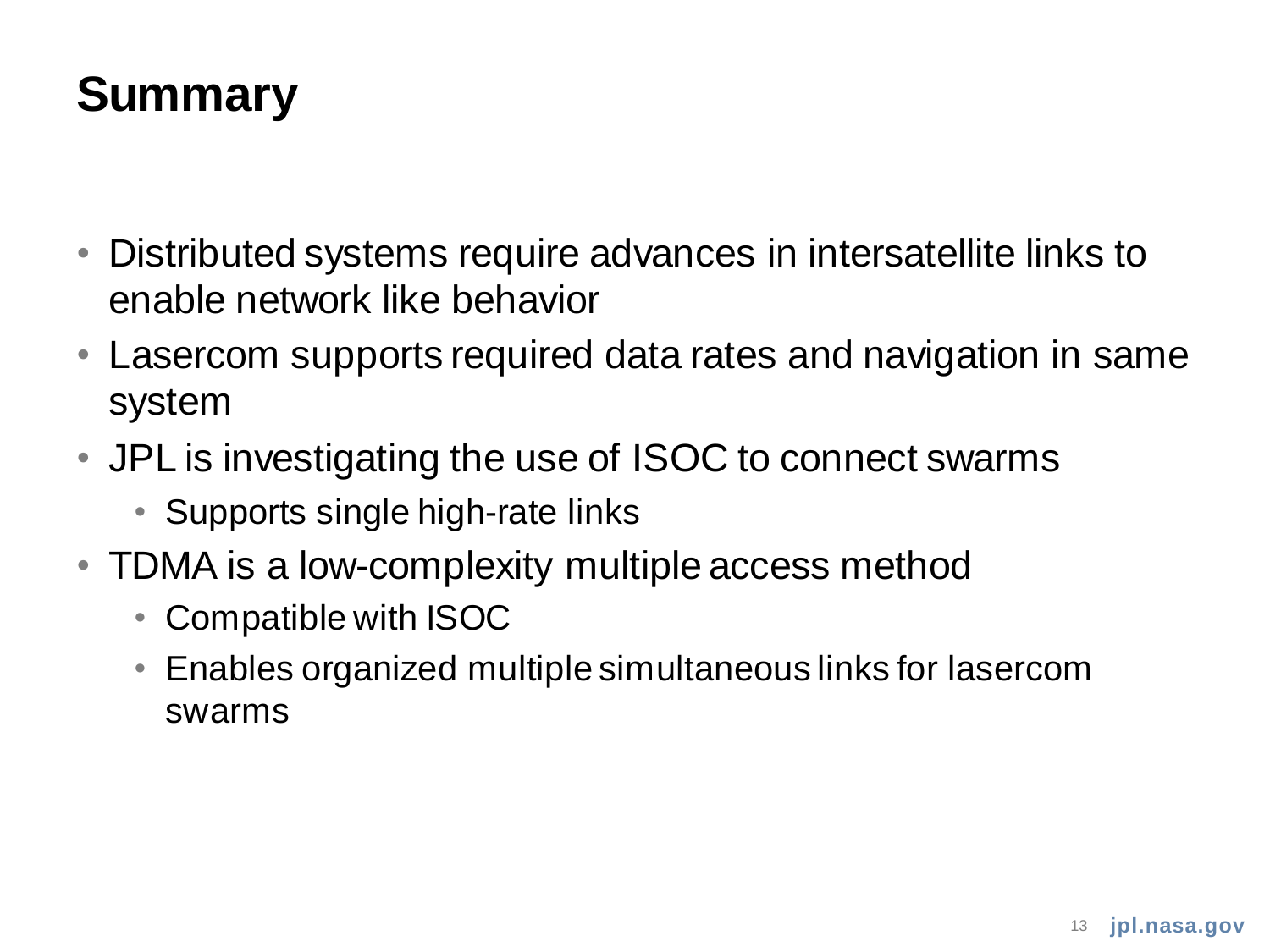# **Summary**

- Distributed systems require advances in intersatellite links to enable network like behavior
- Lasercom supports required data rates and navigation in same system
- JPL is investigating the use of ISOC to connect swarms
	- Supports single high-rate links
- TDMA is a low-complexity multiple access method
	- Compatible with ISOC
	- Enables organized multiple simultaneous links for lasercom swarms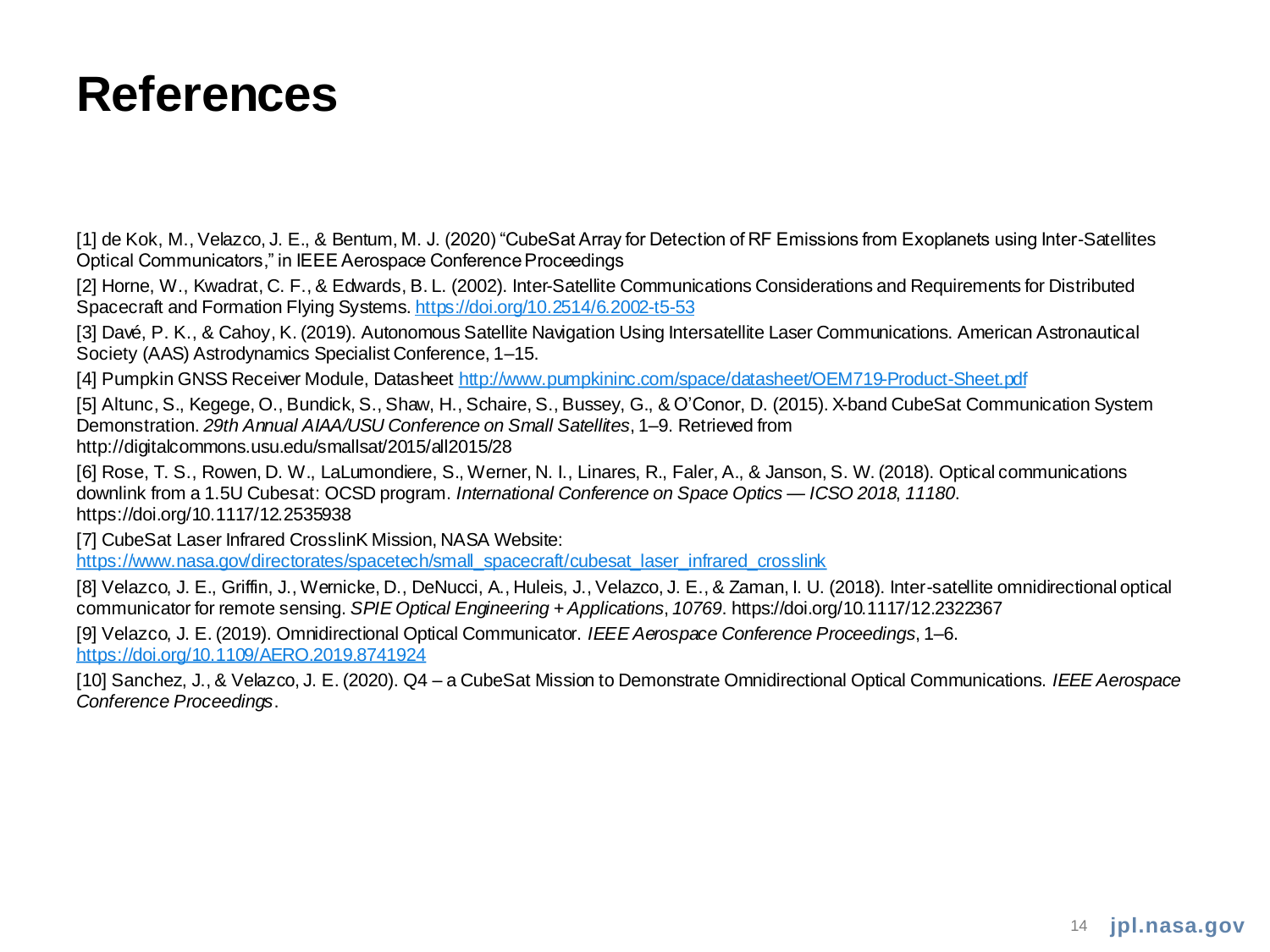### **References**

[1] de Kok, M., Velazco, J. E., & Bentum, M. J. (2020) "CubeSat Array for Detection of RF Emissions from Exoplanets using Inter-Satellites Optical Communicators," in IEEE Aerospace Conference Proceedings

[2] Horne, W., Kwadrat, C. F., & Edwards, B. L. (2002). Inter-Satellite Communications Considerations and Requirements for Distributed Spacecraft and Formation Flying Systems.<https://doi.org/10.2514/6.2002-t5-53>

[3] Davé, P. K., & Cahoy, K. (2019). Autonomous Satellite Navigation Using Intersatellite Laser Communications. American Astronautical Society (AAS) Astrodynamics Specialist Conference, 1–15.

[4] Pumpkin GNSS Receiver Module, Datasheet<http://www.pumpkininc.com/space/datasheet/OEM719-Product-Sheet.pdf>

[5] Altunc, S., Kegege, O., Bundick, S., Shaw, H., Schaire, S., Bussey, G., & O'Conor, D. (2015). X-band CubeSat Communication System Demonstration. *29th Annual AIAA/USU Conference on Small Satellites*, 1–9. Retrieved from http://digitalcommons.usu.edu/smallsat/2015/all2015/28

[6] Rose, T. S., Rowen, D. W., LaLumondiere, S., Werner, N. I., Linares, R., Faler, A., & Janson, S. W. (2018). Optical communications downlink from a 1.5U Cubesat: OCSD program. *International Conference on Space Optics — ICSO 2018*, *11180*. https://doi.org/10.1117/12.2535938

[7] CubeSat Laser Infrared CrosslinK Mission, NASA Website: [https://www.nasa.gov/directorates/spacetech/small\\_spacecraft/cubesat\\_laser\\_infrared\\_crosslink](https://www.nasa.gov/directorates/spacetech/small_spacecraft/cubesat_laser_infrared_crosslink)

[8] Velazco, J. E., Griffin, J., Wernicke, D., DeNucci, A., Huleis, J., Velazco, J. E., & Zaman, I. U. (2018). Inter-satellite omnidirectional optical communicator for remote sensing. *SPIE Optical Engineering + Applications*, *10769*. https://doi.org/10.1117/12.2322367

[9] Velazco, J. E. (2019). Omnidirectional Optical Communicator. *IEEE Aerospace Conference Proceedings*, 1–6. <https://doi.org/10.1109/AERO.2019.8741924>

[10] Sanchez, J., & Velazco, J. E. (2020). Q4 – a CubeSat Mission to Demonstrate Omnidirectional Optical Communications. *IEEE Aerospace Conference Proceedings*.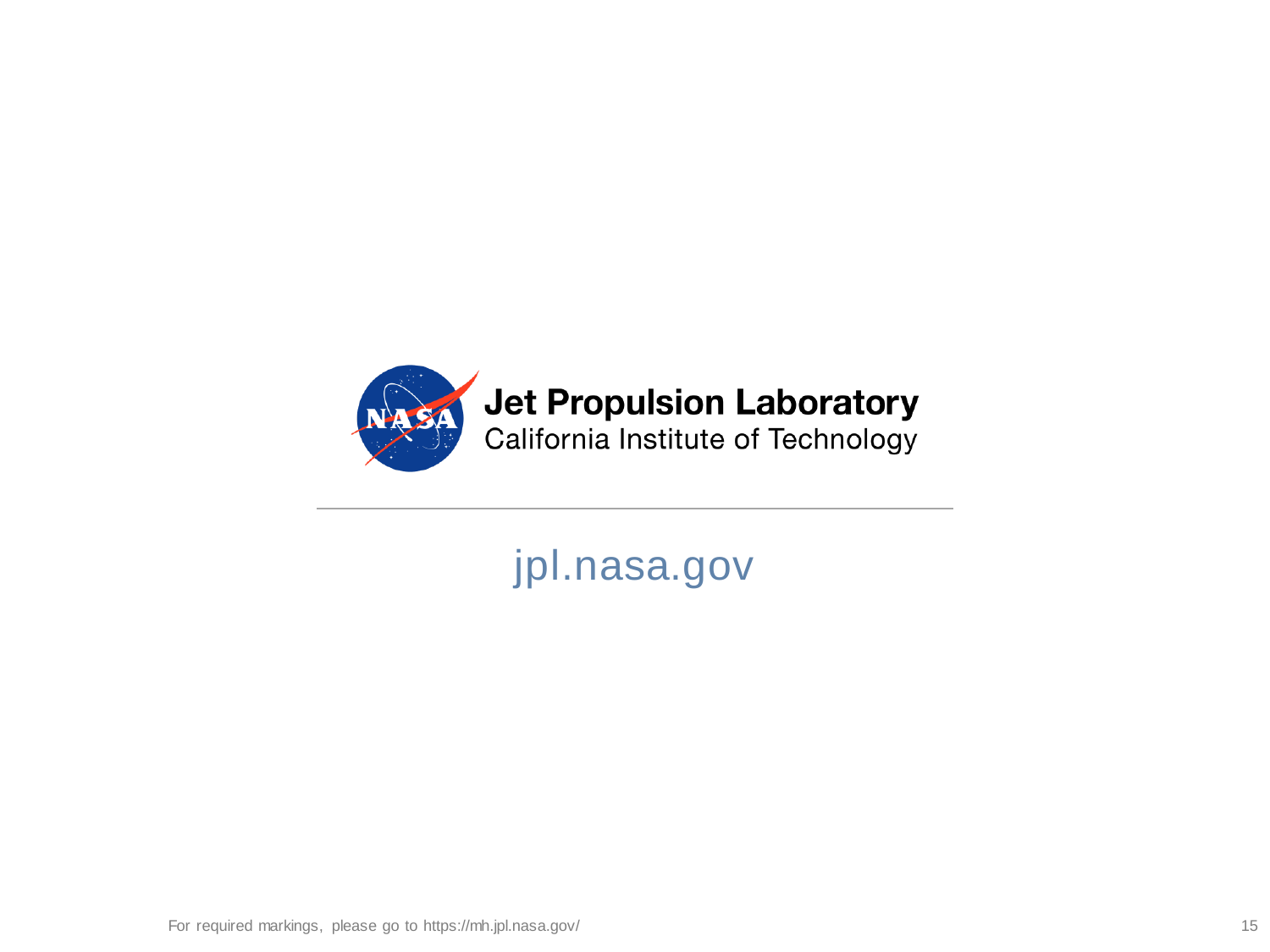

### **Jet Propulsion Laboratory**

California Institute of Technology

### jpl.nasa.gov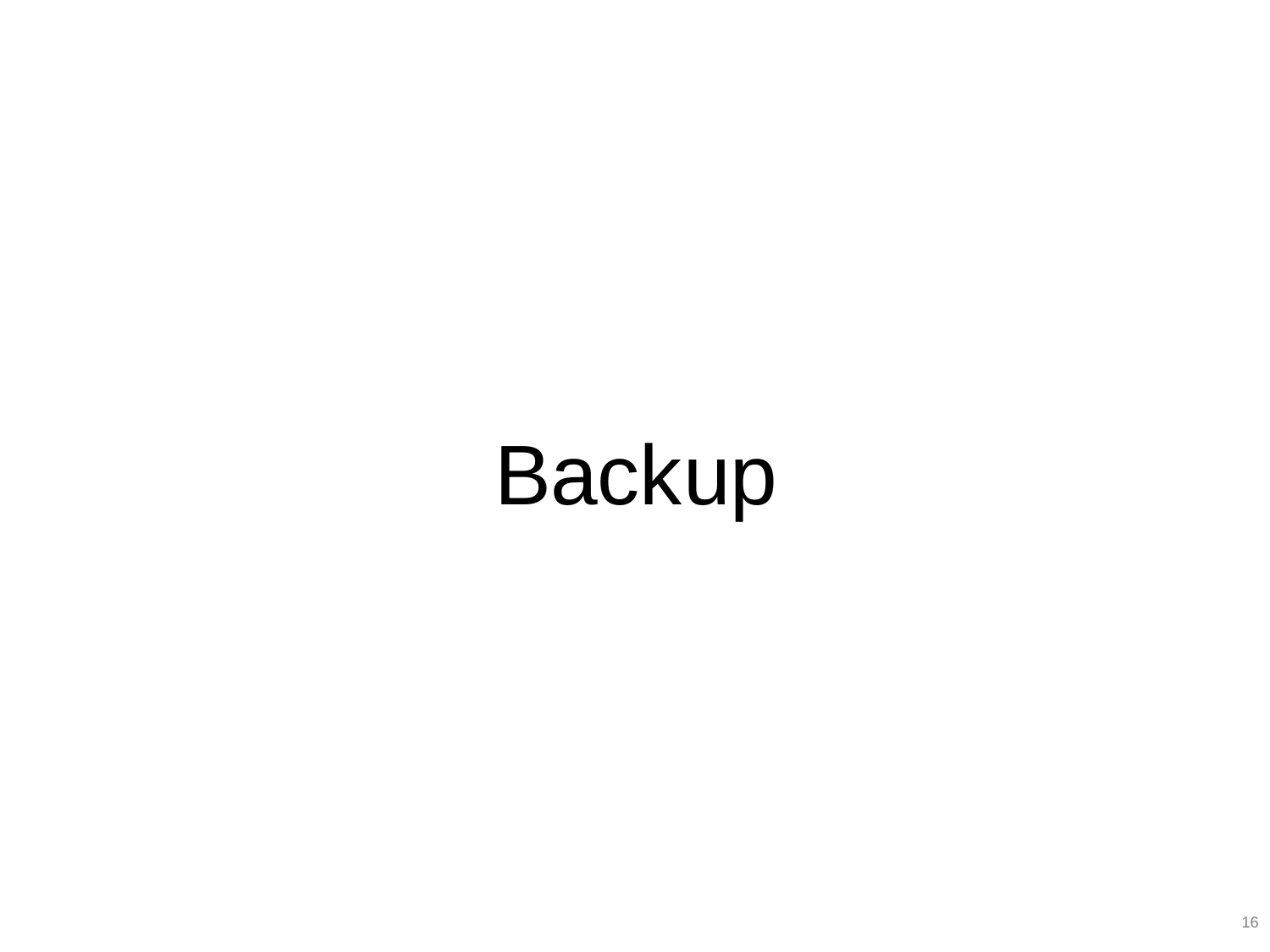# Backup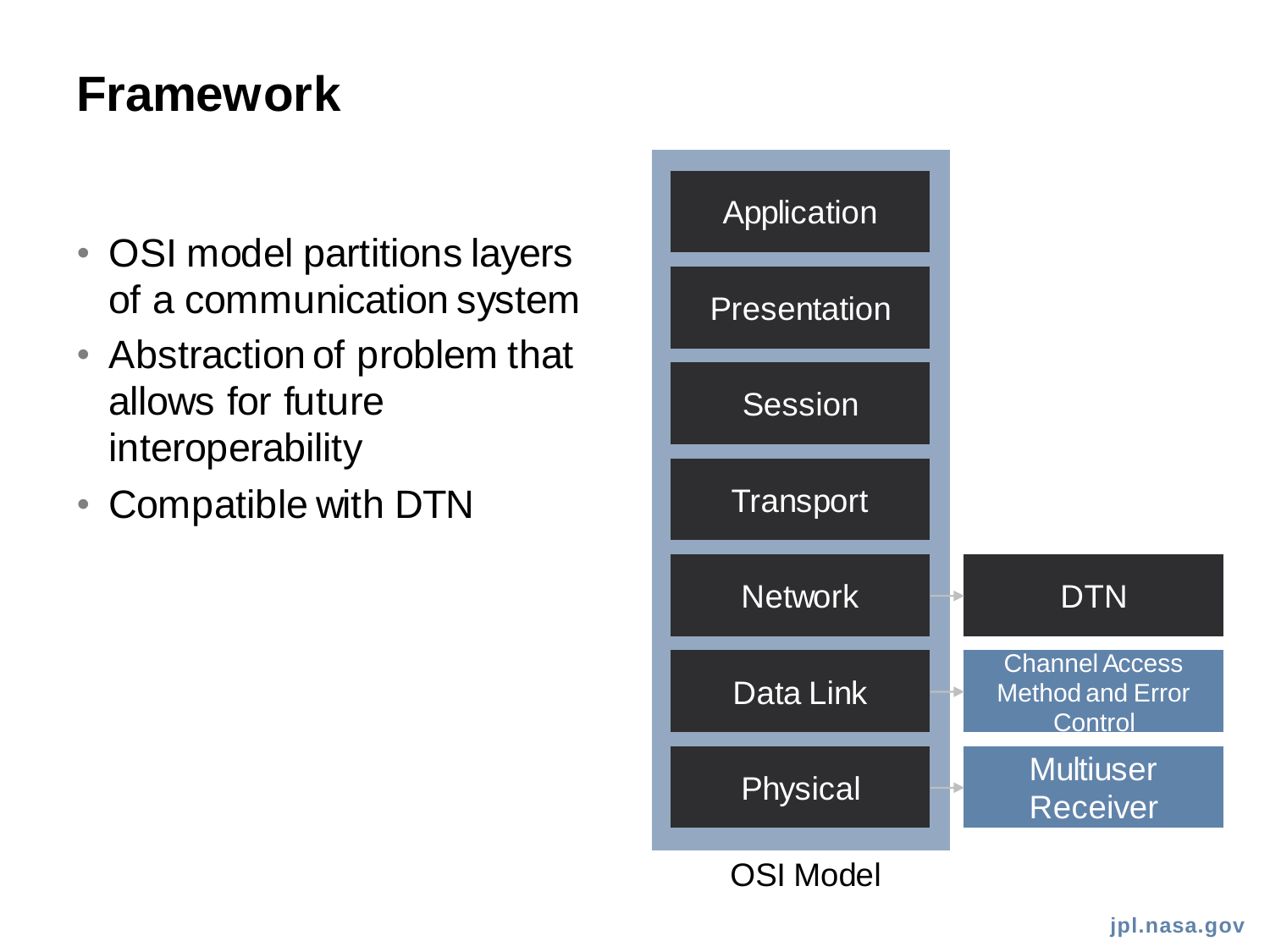### **Framework**

- OSI model partitions layers of a communication system
- Abstraction of problem that allows for future interoperability
- Compatible with DTN

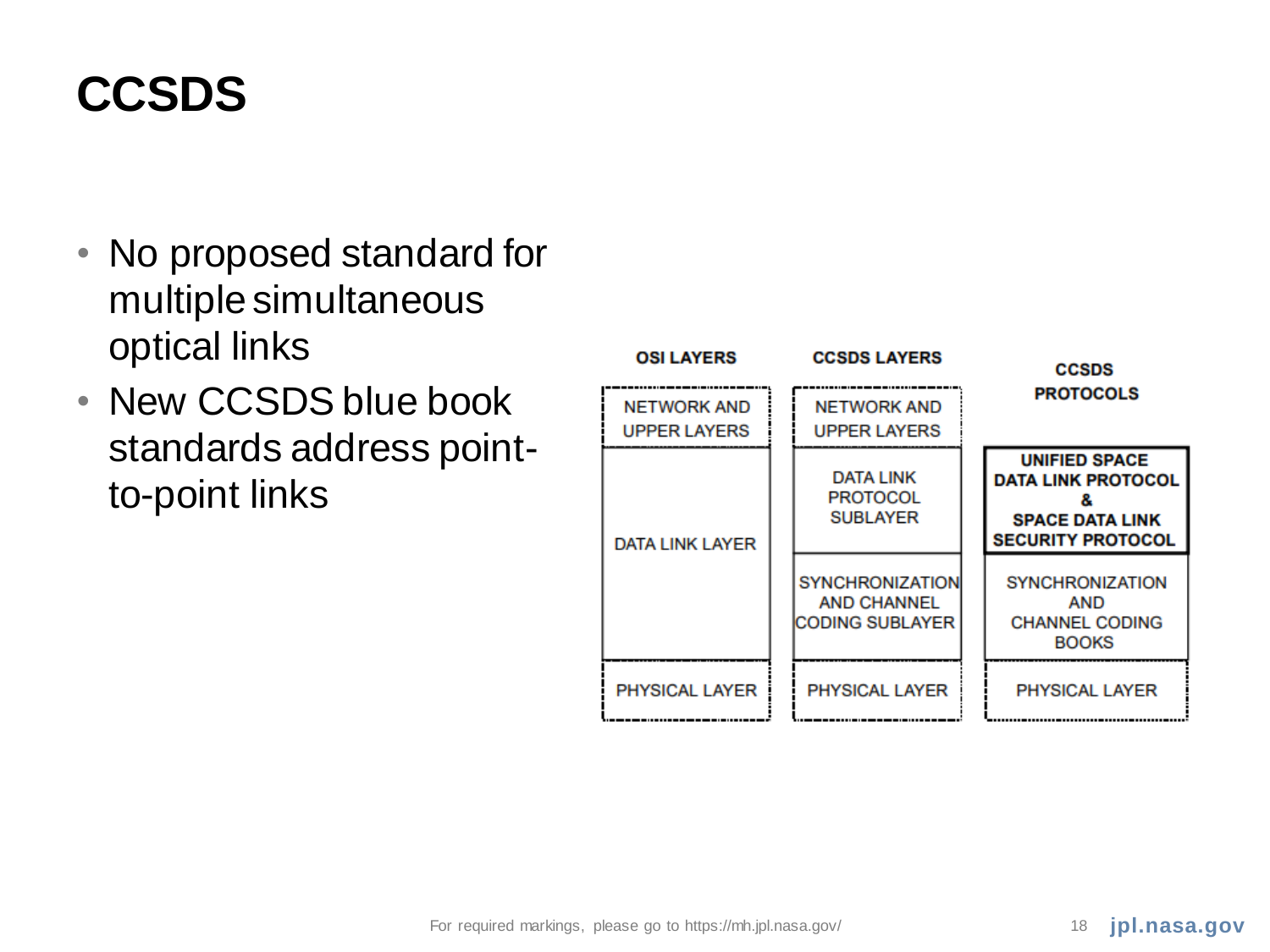# **CCSDS**

- No proposed standard for multiple simultaneous optical links
- New CCSDS blue book standards address pointto-point links

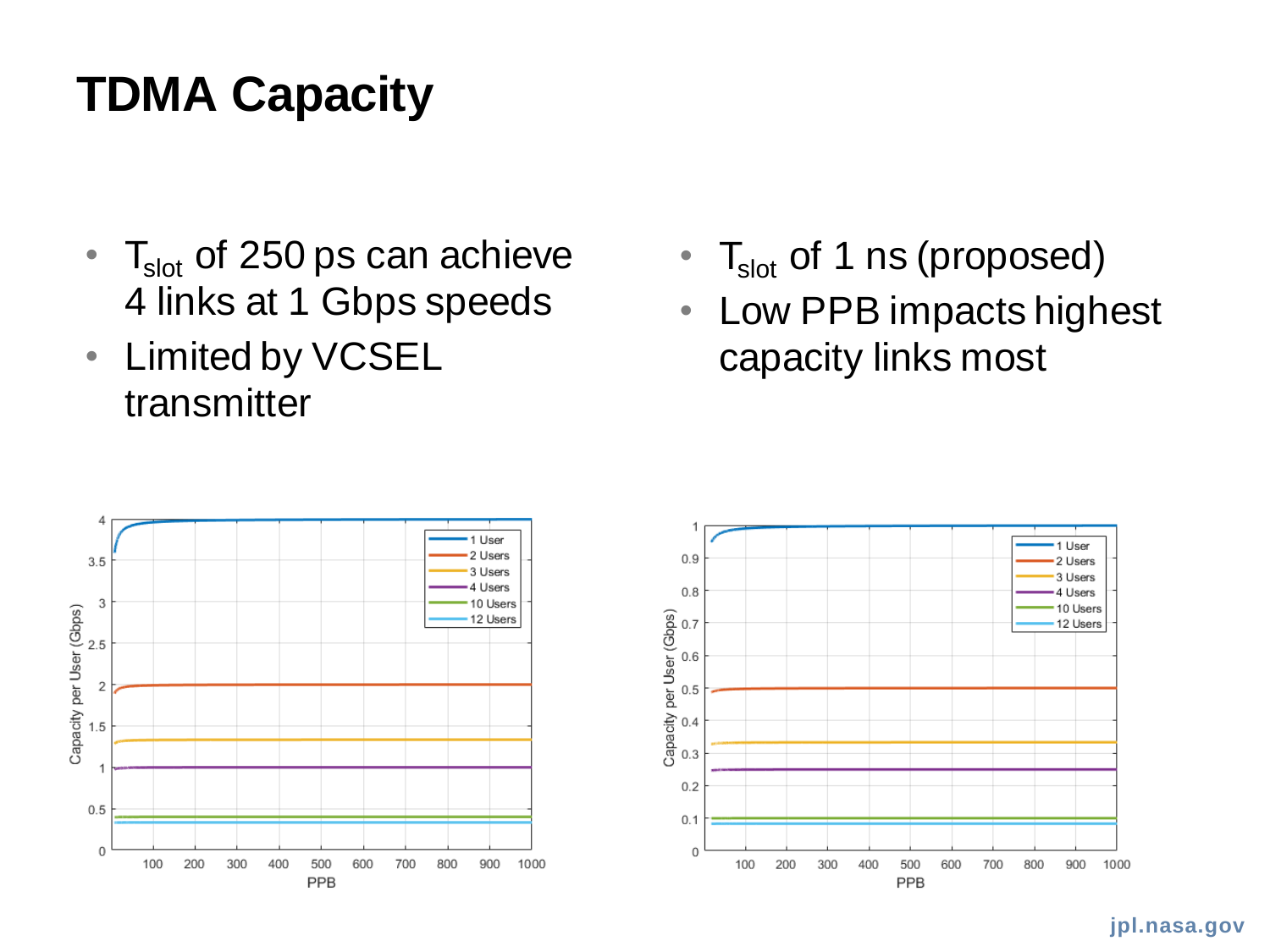# **TDMA Capacity**

- $T_{slot}$  of 250 ps can achieve 4 links at 1 Gbps speeds
- Limited by VCSEL transmitter
- $T_{slot}$  of 1 ns (proposed)
- Low PPB impacts highest capacity links most